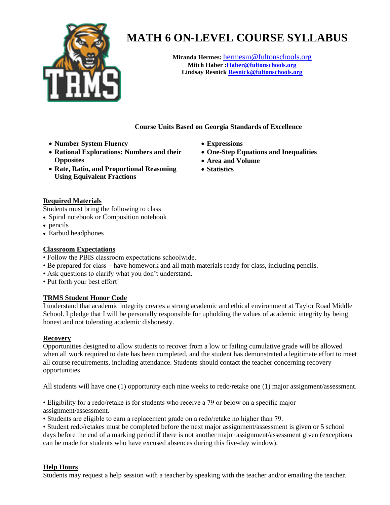

# **MATH 6 ON-LEVEL COURSE SYLLABUS**

**Miranda Hermes:** [hermesm@fultonschools.org](mailto:hermesm@fultonschools.org) **Mitch Haber [:Haber@fultonschools.org](mailto:Haber@fultonschools.org)  Lindsay Resnic[k Resnick@fultonschools.org](mailto:Resnick@fultonschools.org)**

**Course Units Based on Georgia Standards of Excellence**

- **Number System Fluency**
- **Rational Explorations: Numbers and their Opposites**
- **Rate, Ratio, and Proportional Reasoning Using Equivalent Fractions**
- **Expressions**
- **One-Step Equations and Inequalities**
- **Area and Volume**
- **Statistics**

#### **Required Materials**

Students must bring the following to class

- Spiral notebook or Composition notebook
- pencils
- Earbud headphones

### **Classroom Expectations**

- Follow the PBIS classroom expectations schoolwide.
- Be prepared for class have homework and all math materials ready for class, including pencils.
- Ask questions to clarify what you don't understand.
- Put forth your best effort!

## **TRMS Student Honor Code**

I understand that academic integrity creates a strong academic and ethical environment at Taylor Road Middle School. I pledge that I will be personally responsible for upholding the values of academic integrity by being honest and not tolerating academic dishonesty.

#### **Recovery**

Opportunities designed to allow students to recover from a low or failing cumulative grade will be allowed when all work required to date has been completed, and the student has demonstrated a legitimate effort to meet all course requirements, including attendance. Students should contact the teacher concerning recovery opportunities.

All students will have one (1) opportunity each nine weeks to redo/retake one (1) major assignment/assessment.

• Eligibility for a redo/retake is for students who receive a 79 or below on a specific major assignment/assessment.

• Students are eligible to earn a replacement grade on a redo/retake no higher than 79.

• Student redo/retakes must be completed before the next major assignment/assessment is given or 5 school days before the end of a marking period if there is not another major assignment/assessment given (exceptions can be made for students who have excused absences during this five-day window).

#### **Help Hours**

Students may request a help session with a teacher by speaking with the teacher and/or emailing the teacher.